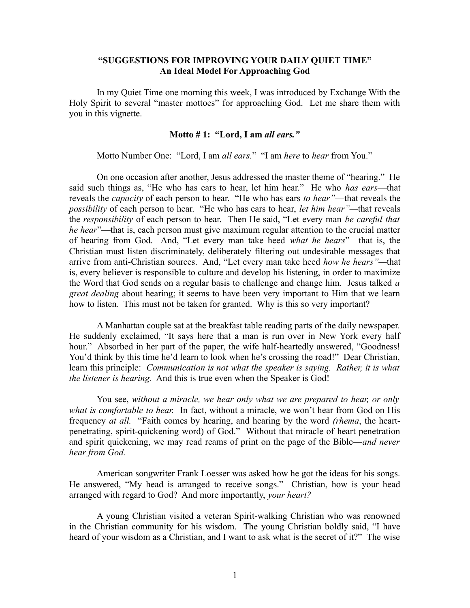## **"SUGGESTIONS FOR IMPROVING YOUR DAILY QUIET TIME" An Ideal Model For Approaching God**

In my Quiet Time one morning this week, I was introduced by Exchange With the Holy Spirit to several "master mottoes" for approaching God. Let me share them with you in this vignette.

## **Motto # 1: "Lord, I am** *all ears."*

Motto Number One: "Lord, I am *all ears.*" "I am *here* to *hear* from You."

On one occasion after another, Jesus addressed the master theme of "hearing." He said such things as, "He who has ears to hear, let him hear." He who *has ears*—that reveals the *capacity* of each person to hear. "He who has ears *to hear"*—that reveals the *possibility* of each person to hear. "He who has ears to hear, *let him hear"—*that reveals the *responsibility* of each person to hear. Then He said, "Let every man *be careful that he hear*"—that is, each person must give maximum regular attention to the crucial matter of hearing from God. And, "Let every man take heed *what he hears*"—that is, the Christian must listen discriminately, deliberately filtering out undesirable messages that arrive from anti-Christian sources. And, "Let every man take heed *how he hears"—*that is, every believer is responsible to culture and develop his listening, in order to maximize the Word that God sends on a regular basis to challenge and change him. Jesus talked *a great dealing* about hearing; it seems to have been very important to Him that we learn how to listen. This must not be taken for granted. Why is this so very important?

A Manhattan couple sat at the breakfast table reading parts of the daily newspaper. He suddenly exclaimed, "It says here that a man is run over in New York every half hour." Absorbed in her part of the paper, the wife half-heartedly answered, "Goodness! You'd think by this time he'd learn to look when he's crossing the road!" Dear Christian, learn this principle: *Communication is not what the speaker is saying. Rather, it is what the listener is hearing.* And this is true even when the Speaker is God!

You see, *without a miracle, we hear only what we are prepared to hear, or only what is comfortable to hear.* In fact, without a miracle, we won't hear from God on His frequency *at all.* "Faith comes by hearing, and hearing by the word *(rhema*, the heartpenetrating, spirit-quickening word) of God." Without that miracle of heart penetration and spirit quickening, we may read reams of print on the page of the Bible—*and never hear from God.* 

American songwriter Frank Loesser was asked how he got the ideas for his songs. He answered, "My head is arranged to receive songs." Christian, how is your head arranged with regard to God? And more importantly, *your heart?*

A young Christian visited a veteran Spirit-walking Christian who was renowned in the Christian community for his wisdom. The young Christian boldly said, "I have heard of your wisdom as a Christian, and I want to ask what is the secret of it?" The wise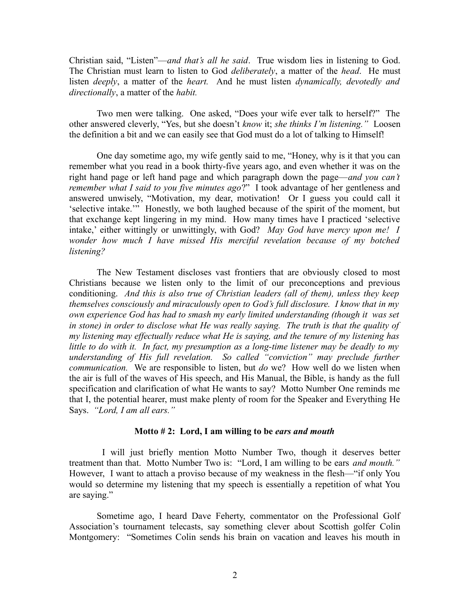Christian said, "Listen"—*and that's all he said*. True wisdom lies in listening to God. The Christian must learn to listen to God *deliberately*, a matter of the *head*. He must listen *deeply*, a matter of the *heart.* And he must listen *dynamically, devotedly and directionally*, a matter of the *habit.* 

Two men were talking. One asked, "Does your wife ever talk to herself?" The other answered cleverly, "Yes, but she doesn't *know* it; *she thinks I'm listening."* Loosen the definition a bit and we can easily see that God must do a lot of talking to Himself!

One day sometime ago, my wife gently said to me, "Honey, why is it that you can remember what you read in a book thirty-five years ago, and even whether it was on the right hand page or left hand page and which paragraph down the page—*and you can't remember what I said to you five minutes ago*?" I took advantage of her gentleness and answered unwisely, "Motivation, my dear, motivation! Or I guess you could call it 'selective intake.'" Honestly, we both laughed because of the spirit of the moment, but that exchange kept lingering in my mind. How many times have I practiced 'selective intake,' either wittingly or unwittingly, with God? *May God have mercy upon me! I wonder how much I have missed His merciful revelation because of my botched listening?* 

The New Testament discloses vast frontiers that are obviously closed to most Christians because we listen only to the limit of our preconceptions and previous conditioning. *And this is also true of Christian leaders (all of them), unless they keep themselves consciously and miraculously open to God's full disclosure. I know that in my own experience God has had to smash my early limited understanding (though it was set in stone) in order to disclose what He was really saying. The truth is that the quality of my listening may effectually reduce what He is saying, and the tenure of my listening has little to do with it. In fact, my presumption as a long-time listener may be deadly to my understanding of His full revelation. So called "conviction" may preclude further communication.* We are responsible to listen, but *do* we? How well do we listen when the air is full of the waves of His speech, and His Manual, the Bible, is handy as the full specification and clarification of what He wants to say? Motto Number One reminds me that I, the potential hearer, must make plenty of room for the Speaker and Everything He Says. *"Lord, I am all ears."*

## **Motto # 2: Lord, I am willing to be** *ears and mouth*

I will just briefly mention Motto Number Two, though it deserves better treatment than that. Motto Number Two is: "Lord, I am willing to be ears *and mouth."* However, I want to attach a proviso because of my weakness in the flesh—"if only You would so determine my listening that my speech is essentially a repetition of what You are saying."

Sometime ago, I heard Dave Feherty, commentator on the Professional Golf Association's tournament telecasts, say something clever about Scottish golfer Colin Montgomery: "Sometimes Colin sends his brain on vacation and leaves his mouth in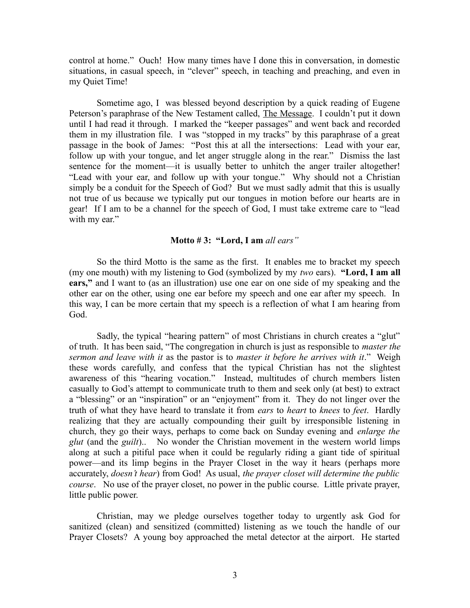control at home." Ouch! How many times have I done this in conversation, in domestic situations, in casual speech, in "clever" speech, in teaching and preaching, and even in my Quiet Time!

Sometime ago, I was blessed beyond description by a quick reading of Eugene Peterson's paraphrase of the New Testament called, The Message. I couldn't put it down until I had read it through. I marked the "keeper passages" and went back and recorded them in my illustration file. I was "stopped in my tracks" by this paraphrase of a great passage in the book of James: "Post this at all the intersections: Lead with your ear, follow up with your tongue, and let anger struggle along in the rear." Dismiss the last sentence for the moment—it is usually better to unhitch the anger trailer altogether! "Lead with your ear, and follow up with your tongue." Why should not a Christian simply be a conduit for the Speech of God? But we must sadly admit that this is usually not true of us because we typically put our tongues in motion before our hearts are in gear! If I am to be a channel for the speech of God, I must take extreme care to "lead with my ear."

## **Motto # 3: "Lord, I am** *all ears"*

So the third Motto is the same as the first. It enables me to bracket my speech (my one mouth) with my listening to God (symbolized by my *two* ears). **"Lord, I am all ears,"** and I want to (as an illustration) use one ear on one side of my speaking and the other ear on the other, using one ear before my speech and one ear after my speech. In this way, I can be more certain that my speech is a reflection of what I am hearing from God.

Sadly, the typical "hearing pattern" of most Christians in church creates a "glut" of truth. It has been said, "The congregation in church is just as responsible to *master the sermon and leave with it* as the pastor is to *master it before he arrives with it*." Weigh these words carefully, and confess that the typical Christian has not the slightest awareness of this "hearing vocation." Instead, multitudes of church members listen casually to God's attempt to communicate truth to them and seek only (at best) to extract a "blessing" or an "inspiration" or an "enjoyment" from it. They do not linger over the truth of what they have heard to translate it from *ears* to *heart* to *knees* to *feet*. Hardly realizing that they are actually compounding their guilt by irresponsible listening in church, they go their ways, perhaps to come back on Sunday evening and *enlarge the glut* (and the *guilt*).. No wonder the Christian movement in the western world limps along at such a pitiful pace when it could be regularly riding a giant tide of spiritual power—and its limp begins in the Prayer Closet in the way it hears (perhaps more accurately, *doesn't hear*) from God! As usual, *the prayer closet will determine the public course*. No use of the prayer closet, no power in the public course. Little private prayer, little public power.

Christian, may we pledge ourselves together today to urgently ask God for sanitized (clean) and sensitized (committed) listening as we touch the handle of our Prayer Closets? A young boy approached the metal detector at the airport. He started